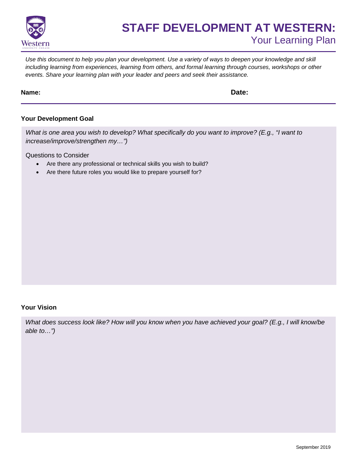

# **STAFF DEVELOPMENT AT WESTERN:** Your Learning Plan

*Use this document to help you plan your development. Use a variety of ways to deepen your knowledge and skill including learning from experiences, learning from others, and formal learning through courses, workshops or other events. Share your learning plan with your leader and peers and seek their assistance.* 

### **Name: Date:**

## **Your Development Goal**

*What is one area you wish to develop? What specifically do you want to improve? (E.g., "I want to increase/improve/strengthen my…")* 

Questions to Consider

- Are there any professional or technical skills you wish to build?
- Are there future roles you would like to prepare yourself for?

#### **Your Vision**

*What does success look like? How will you know when you have achieved your goal? (E.g., I will know/be able to…")*